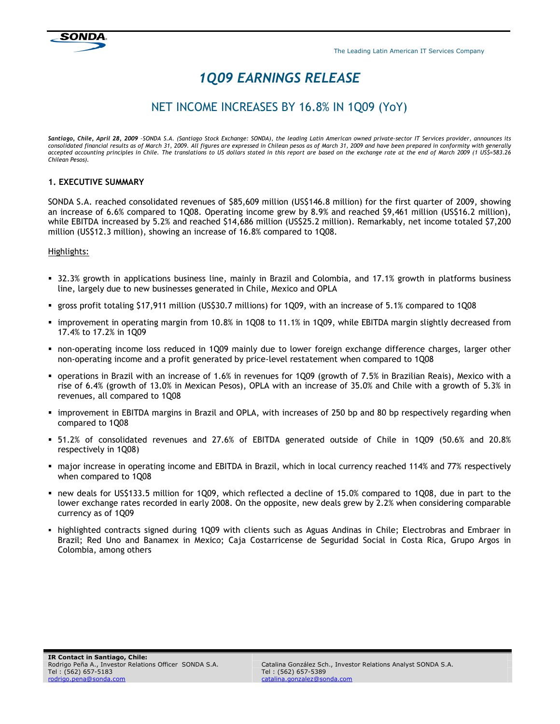## 1Q09 EARNINGS RELEASE

## NET INCOME INCREASES BY 16.8% IN 1Q09 (YoY)

Santiago, Chile, April 28, 2009 -SONDA S.A. (Santiago Stock Exchange: SONDA), the leading Latin American owned private-sector IT Services provider, announces its consolidated financial results as of March 31, 2009. All figures are expressed in Chilean pesos as of March 31, 2009 and have been prepared in conformity with generally accepted accounting principles in Chile. The translations to US dollars stated in this report are based on the exchange rate at the end of March 2009 (1 US\$=583.26 Chilean Pesos).

#### 1. EXECUTIVE SUMMARY

SONDA S.A. reached consolidated revenues of \$85,609 million (US\$146.8 million) for the first quarter of 2009, showing an increase of 6.6% compared to 1Q08. Operating income grew by 8.9% and reached \$9,461 million (US\$16.2 million), while EBITDA increased by 5.2% and reached \$14,686 million (US\$25.2 million). Remarkably, net income totaled \$7,200 million (US\$12.3 million), showing an increase of 16.8% compared to 1Q08.

#### Highlights:

- 32.3% growth in applications business line, mainly in Brazil and Colombia, and 17.1% growth in platforms business line, largely due to new businesses generated in Chile, Mexico and OPLA
- gross profit totaling \$17,911 million (US\$30.7 millions) for 1Q09, with an increase of 5.1% compared to 1Q08
- improvement in operating margin from 10.8% in 1Q08 to 11.1% in 1Q09, while EBITDA margin slightly decreased from 17.4% to 17.2% in 1Q09
- non-operating income loss reduced in 1Q09 mainly due to lower foreign exchange difference charges, larger other non-operating income and a profit generated by price-level restatement when compared to 1Q08
- operations in Brazil with an increase of 1.6% in revenues for 1Q09 (growth of 7.5% in Brazilian Reais), Mexico with a rise of 6.4% (growth of 13.0% in Mexican Pesos), OPLA with an increase of 35.0% and Chile with a growth of 5.3% in revenues, all compared to 1Q08
- **I** improvement in EBITDA margins in Brazil and OPLA, with increases of 250 bp and 80 bp respectively regarding when compared to 1Q08
- 51.2% of consolidated revenues and 27.6% of EBITDA generated outside of Chile in 1Q09 (50.6% and 20.8% respectively in 1Q08)
- major increase in operating income and EBITDA in Brazil, which in local currency reached 114% and 77% respectively when compared to 1Q08
- new deals for US\$133.5 million for 1Q09, which reflected a decline of 15.0% compared to 1Q08, due in part to the lower exchange rates recorded in early 2008. On the opposite, new deals grew by 2.2% when considering comparable currency as of 1Q09
- highlighted contracts signed during 1Q09 with clients such as Aguas Andinas in Chile; Electrobras and Embraer in Brazil; Red Uno and Banamex in Mexico; Caja Costarricense de Seguridad Social in Costa Rica, Grupo Argos in Colombia, among others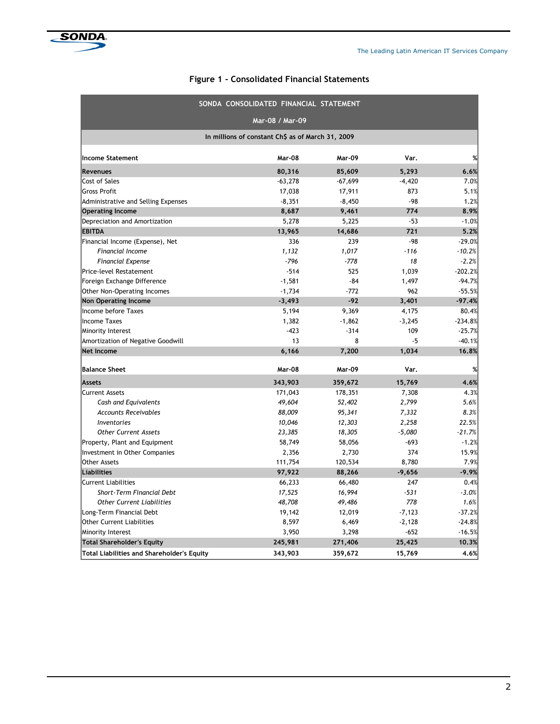### Figure 1 - Consolidated Financial Statements

|                                            | SONDA CONSOLIDATED FINANCIAL STATEMENT            |               |          |           |  |  |  |
|--------------------------------------------|---------------------------------------------------|---------------|----------|-----------|--|--|--|
|                                            | Mar-08 / Mar-09                                   |               |          |           |  |  |  |
|                                            | In millions of constant Ch\$ as of March 31, 2009 |               |          |           |  |  |  |
| <b>Income Statement</b>                    | Mar-08                                            | <b>Mar-09</b> | Var.     | %         |  |  |  |
| <b>Revenues</b>                            | 80,316                                            | 85,609        | 5,293    | 6.6%      |  |  |  |
| Cost of Sales                              | $-63,278$                                         | $-67,699$     | $-4,420$ | 7.0%      |  |  |  |
| <b>Gross Profit</b>                        | 17,038                                            | 17,911        | 873      | 5.1%      |  |  |  |
| Administrative and Selling Expenses        | $-8,351$                                          | $-8,450$      | $-98$    | 1.2%      |  |  |  |
| <b>Operating Income</b>                    | 8,687                                             | 9,461         | 774      | 8.9%      |  |  |  |
| Depreciation and Amortization              | 5,278                                             | 5,225         | $-53$    | $-1.0%$   |  |  |  |
| <b>EBITDA</b>                              | 13,965                                            | 14,686        | 721      | 5.2%      |  |  |  |
| Financial Income (Expense), Net            | 336                                               | 239           | $-98$    | $-29.0%$  |  |  |  |
| Financial Income                           | 1,132                                             | 1,017         | $-116$   | $-10.2%$  |  |  |  |
| <b>Financial Expense</b>                   | $-796$                                            | $-778$        | 18       | $-2.2%$   |  |  |  |
| Price-level Restatement                    | $-514$                                            | 525           | 1,039    | $-202.2%$ |  |  |  |
| Foreign Exchange Difference                | $-1,581$                                          | -84           | 1,497    | $-94.7%$  |  |  |  |
| Other Non-Operating Incomes                | $-1,734$                                          | $-772$        | 962      | $-55.5%$  |  |  |  |
| <b>Non Operating Income</b>                | $-3,493$                                          | $-92$         | 3,401    | $-97.4%$  |  |  |  |
| Income before Taxes                        | 5,194                                             | 9,369         | 4,175    | 80.4%     |  |  |  |
| <b>Income Taxes</b>                        | 1,382                                             | $-1,862$      | $-3,245$ | $-234.8%$ |  |  |  |
| Minority Interest                          | $-423$                                            | $-314$        | 109      | $-25.7%$  |  |  |  |
| Amortization of Negative Goodwill          | 13                                                | 8             | $-5$     | $-40.1%$  |  |  |  |
| <b>Net Income</b>                          | 6,166                                             | 7,200         | 1,034    | 16.8%     |  |  |  |
| <b>Balance Sheet</b>                       | Mar-08                                            | <b>Mar-09</b> | Var.     | %         |  |  |  |
| Assets                                     | 343,903                                           | 359,672       | 15,769   | 4.6%      |  |  |  |
| <b>Current Assets</b>                      | 171,043                                           | 178,351       | 7,308    | 4.3%      |  |  |  |
| Cash and Equivalents                       | 49,604                                            | 52,402        | 2,799    | 5.6%      |  |  |  |
| <b>Accounts Receivables</b>                | 88,009                                            | 95,341        | 7,332    | 8.3%      |  |  |  |
| <i><b>Inventories</b></i>                  | 10,046                                            | 12,303        | 2,258    | 22.5%     |  |  |  |
| <b>Other Current Assets</b>                | 23,385                                            | 18,305        | $-5,080$ | $-21.7%$  |  |  |  |
| Property, Plant and Equipment              | 58,749                                            | 58,056        | $-693$   | $-1.2%$   |  |  |  |
| Investment in Other Companies              | 2,356                                             | 2,730         | 374      | 15.9%     |  |  |  |
| <b>Other Assets</b>                        | 111,754                                           | 120,534       | 8,780    | 7.9%      |  |  |  |
| Liabilities                                | 97,922                                            | 88,266        | $-9,656$ | $-9.9%$   |  |  |  |
| <b>Current Liabilities</b>                 | 66,233                                            | 66,480        | 247      | 0.4%      |  |  |  |
| <b>Short-Term Financial Debt</b>           | 17,525                                            | 16,994        | $-531$   | $-3.0%$   |  |  |  |
| <b>Other Current Liabilities</b>           | 48,708                                            | 49,486        | 778      | 1.6%      |  |  |  |
| Long-Term Financial Debt                   | 19,142                                            | 12,019        | $-7,123$ | $-37.2%$  |  |  |  |
| <b>Other Current Liabilities</b>           | 8,597                                             | 6,469         | $-2,128$ | $-24.8%$  |  |  |  |
| Minority Interest                          | 3,950                                             | 3,298         | $-652$   | $-16.5%$  |  |  |  |
| <b>Total Shareholder's Equity</b>          | 245,981                                           | 271,406       | 25,425   | 10.3%     |  |  |  |
| Total Liabilities and Shareholder's Equity | 343,903                                           | 359,672       | 15,769   | 4.6%      |  |  |  |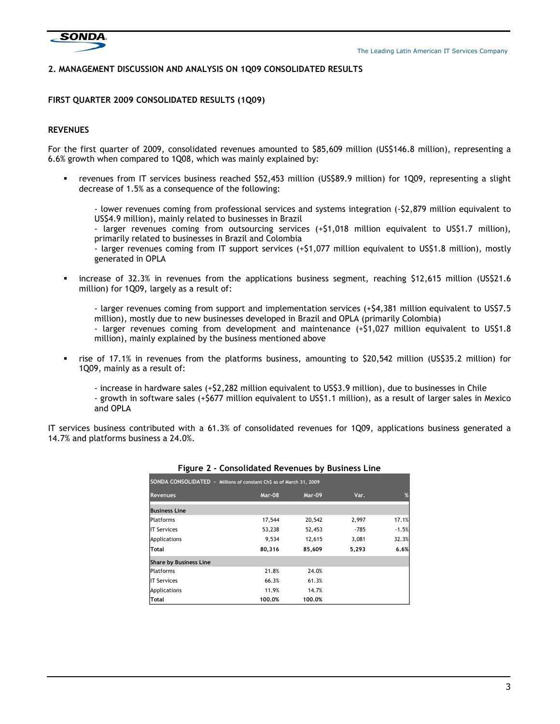

#### 2. MANAGEMENT DISCUSSION AND ANALYSIS ON 1Q09 CONSOLIDATED RESULTS

#### FIRST QUARTER 2009 CONSOLIDATED RESULTS (1Q09)

#### REVENUES

For the first quarter of 2009, consolidated revenues amounted to \$85,609 million (US\$146.8 million), representing a 6.6% growth when compared to 1Q08, which was mainly explained by:

 revenues from IT services business reached \$52,453 million (US\$89.9 million) for 1Q09, representing a slight decrease of 1.5% as a consequence of the following:

- lower revenues coming from professional services and systems integration (-\$2,879 million equivalent to US\$4.9 million), mainly related to businesses in Brazil

- larger revenues coming from outsourcing services (+\$1,018 million equivalent to US\$1.7 million), primarily related to businesses in Brazil and Colombia

- larger revenues coming from IT support services (+\$1,077 million equivalent to US\$1.8 million), mostly generated in OPLA

increase of 32.3% in revenues from the applications business segment, reaching \$12,615 million (US\$21.6) million) for 1Q09, largely as a result of:

- larger revenues coming from support and implementation services (+\$4,381 million equivalent to US\$7.5 million), mostly due to new businesses developed in Brazil and OPLA (primarily Colombia)

- larger revenues coming from development and maintenance (+\$1,027 million equivalent to US\$1.8 million), mainly explained by the business mentioned above

 rise of 17.1% in revenues from the platforms business, amounting to \$20,542 million (US\$35.2 million) for 1Q09, mainly as a result of:

- increase in hardware sales (+\$2,282 million equivalent to US\$3.9 million), due to businesses in Chile - growth in software sales (+\$677 million equivalent to US\$1.1 million), as a result of larger sales in Mexico and OPLA

IT services business contributed with a 61.3% of consolidated revenues for 1Q09, applications business generated a 14.7% and platforms business a 24.0%.

| SONDA CONSOLIDATED - Millions of constant Ch\$ as of March 31, 2009 |        |        |       |         |  |
|---------------------------------------------------------------------|--------|--------|-------|---------|--|
| <b>Revenues</b>                                                     | Mar-08 | Mar-09 | Var.  | %       |  |
| <b>Business Line</b>                                                |        |        |       |         |  |
| <b>IPlatforms</b>                                                   | 17,544 | 20,542 | 2,997 | 17.1%   |  |
| <b>IIT Services</b>                                                 | 53,238 | 52,453 | -785  | $-1.5%$ |  |
| Applications                                                        | 9,534  | 12,615 | 3,081 | 32.3%   |  |
| Total                                                               | 80,316 | 85,609 | 5,293 | 6.6%    |  |
| <b>Share by Business Line</b>                                       |        |        |       |         |  |
| <b>Platforms</b>                                                    | 21.8%  | 24.0%  |       |         |  |
| <b>IIT Services</b>                                                 | 66.3%  | 61.3%  |       |         |  |
| Applications                                                        | 11.9%  | 14.7%  |       |         |  |
| Total                                                               | 100.0% | 100.0% |       |         |  |

#### Figure 2 - Consolidated Revenues by Business Line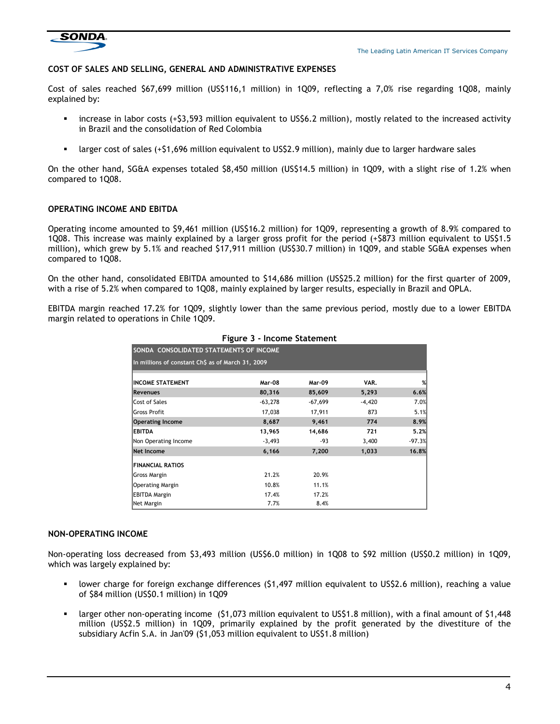

#### COST OF SALES AND SELLING, GENERAL AND ADMINISTRATIVE EXPENSES

Cost of sales reached \$67,699 million (US\$116,1 million) in 1Q09, reflecting a 7,0% rise regarding 1Q08, mainly explained by:

- increase in labor costs (+\$3,593 million equivalent to US\$6.2 million), mostly related to the increased activity in Brazil and the consolidation of Red Colombia
- larger cost of sales (+\$1,696 million equivalent to US\$2.9 million), mainly due to larger hardware sales

On the other hand, SG&A expenses totaled \$8,450 million (US\$14.5 million) in 1Q09, with a slight rise of 1.2% when compared to 1Q08.

#### OPERATING INCOME AND EBITDA

Operating income amounted to \$9,461 million (US\$16.2 million) for 1Q09, representing a growth of 8.9% compared to 1Q08. This increase was mainly explained by a larger gross profit for the period (+\$873 million equivalent to US\$1.5 million), which grew by 5.1% and reached \$17,911 million (US\$30.7 million) in 1Q09, and stable SG&A expenses when compared to 1Q08.

On the other hand, consolidated EBITDA amounted to \$14,686 million (US\$25.2 million) for the first quarter of 2009, with a rise of 5.2% when compared to 1Q08, mainly explained by larger results, especially in Brazil and OPLA.

EBITDA margin reached 17.2% for 1Q09, slightly lower than the same previous period, mostly due to a lower EBITDA margin related to operations in Chile 1Q09.

| SONDA CONSOLIDATED STATEMENTS OF INCOME           |               |           |          |          |  |
|---------------------------------------------------|---------------|-----------|----------|----------|--|
| In millions of constant Ch\$ as of March 31, 2009 |               |           |          |          |  |
| <b>INCOME STATEMENT</b>                           | <b>Mar-08</b> | Mar-09    | VAR.     | %        |  |
| <b>Revenues</b>                                   | 80,316        | 85,609    | 5,293    | 6.6%     |  |
| Cost of Sales                                     | $-63,278$     | $-67,699$ | $-4,420$ | 7.0%     |  |
| lGross Profit                                     | 17,038        | 17,911    | 873      | 5.1%     |  |
| <b>Operating Income</b>                           | 8,687         | 9,461     | 774      | 8.9%     |  |
| <b>EBITDA</b>                                     | 13,965        | 14,686    | 721      | 5.2%     |  |
| Non Operating Income                              | $-3,493$      | -93       | 3,400    | $-97.3%$ |  |
| Net Income                                        | 6,166         | 7,200     | 1,033    | 16.8%    |  |
| <b>FINANCIAL RATIOS</b>                           |               |           |          |          |  |
| Gross Margin                                      | 21.2%         | 20.9%     |          |          |  |
| <b>Operating Margin</b>                           | 10.8%         | 11.1%     |          |          |  |
| <b>EBITDA Margin</b>                              | 17.4%         | 17.2%     |          |          |  |
| Net Margin                                        | 7.7%          | 8.4%      |          |          |  |

#### Figure 3 - Income Statement

#### NON-OPERATING INCOME

Non-operating loss decreased from \$3,493 million (US\$6.0 million) in 1Q08 to \$92 million (US\$0.2 million) in 1Q09, which was largely explained by:

- lower charge for foreign exchange differences (\$1,497 million equivalent to US\$2.6 million), reaching a value of \$84 million (US\$0.1 million) in 1Q09
- larger other non-operating income (\$1,073 million equivalent to US\$1.8 million), with a final amount of \$1,448 million (US\$2.5 million) in 1Q09, primarily explained by the profit generated by the divestiture of the subsidiary Acfin S.A. in Jan'09 (\$1,053 million equivalent to US\$1.8 million)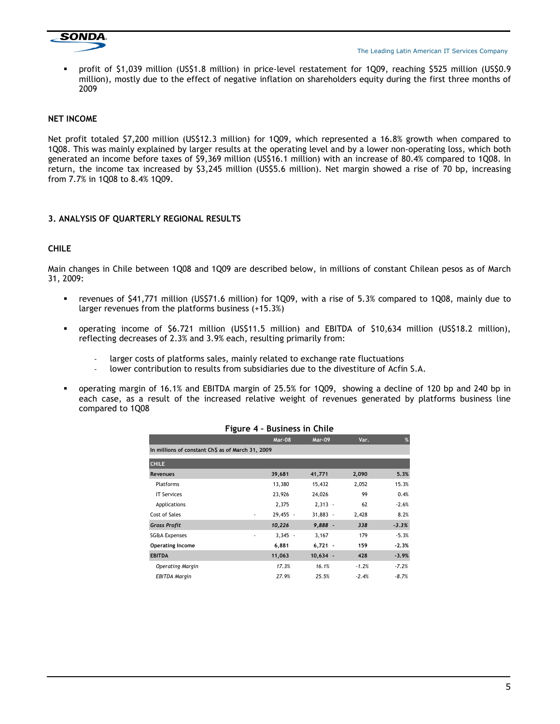

 profit of \$1,039 million (US\$1.8 million) in price-level restatement for 1Q09, reaching \$525 million (US\$0.9 million), mostly due to the effect of negative inflation on shareholders equity during the first three months of 2009

#### NET INCOME

Net profit totaled \$7,200 million (US\$12.3 million) for 1Q09, which represented a 16.8% growth when compared to 1Q08. This was mainly explained by larger results at the operating level and by a lower non-operating loss, which both generated an income before taxes of \$9,369 million (US\$16.1 million) with an increase of 80.4% compared to 1Q08. In return, the income tax increased by \$3,245 million (US\$5.6 million). Net margin showed a rise of 70 bp, increasing from 7.7% in 1Q08 to 8.4% 1Q09.

#### 3. ANALYSIS OF QUARTERLY REGIONAL RESULTS

#### CHILE

Main changes in Chile between 1Q08 and 1Q09 are described below, in millions of constant Chilean pesos as of March 31, 2009:

- revenues of \$41,771 million (US\$71.6 million) for 1Q09, with a rise of 5.3% compared to 1Q08, mainly due to larger revenues from the platforms business (+15.3%)
- operating income of \$6.721 million (US\$11.5 million) and EBITDA of \$10,634 million (US\$18.2 million), reflecting decreases of 2.3% and 3.9% each, resulting primarily from:
	- larger costs of platforms sales, mainly related to exchange rate fluctuations
	- lower contribution to results from subsidiaries due to the divestiture of Acfin S.A.
- operating margin of 16.1% and EBITDA margin of 25.5% for 1Q09, showing a decline of 120 bp and 240 bp in each case, as a result of the increased relative weight of revenues generated by platforms business line compared to 1Q08

|                                                   | - 20                                 |               |         |         |
|---------------------------------------------------|--------------------------------------|---------------|---------|---------|
|                                                   | Mar-08                               | <b>Mar-09</b> | Var.    | %       |
| In millions of constant Ch\$ as of March 31, 2009 |                                      |               |         |         |
| <b>CHILE</b>                                      |                                      |               |         |         |
| <b>Revenues</b>                                   | 39,681                               | 41,771        | 2,090   | 5.3%    |
| Platforms                                         | 13,380                               | 15,432        | 2,052   | 15.3%   |
| <b>IT Services</b>                                | 23,926                               | 24,026        | 99      | 0.4%    |
| Applications                                      | 2,375                                | $2,313 -$     | 62      | $-2.6%$ |
| Cost of Sales                                     | 29,455 -<br>$\overline{\phantom{a}}$ | $31,883 -$    | 2,428   | 8.2%    |
| <b>Gross Profit</b>                               | 10,226                               | $9,888 -$     | 338     | $-3.3%$ |
| <b>SG&amp;A Expenses</b>                          | $3,345 -$<br>٠                       | 3,167         | 179     | $-5.3%$ |
| <b>Operating Income</b>                           | 6,881                                | $6,721 -$     | 159     | $-2.3%$ |
| <b>EBITDA</b>                                     | 11,063                               | $10,634 -$    | 428     | $-3.9%$ |
| <b>Operating Margin</b>                           | 17.3%                                | 16.1%         | $-1.2%$ | $-7.2%$ |
| EBITDA Margin                                     | 27.9%                                | 25.5%         | $-2.4%$ | $-8.7%$ |

#### Figure 4 – Business in Chile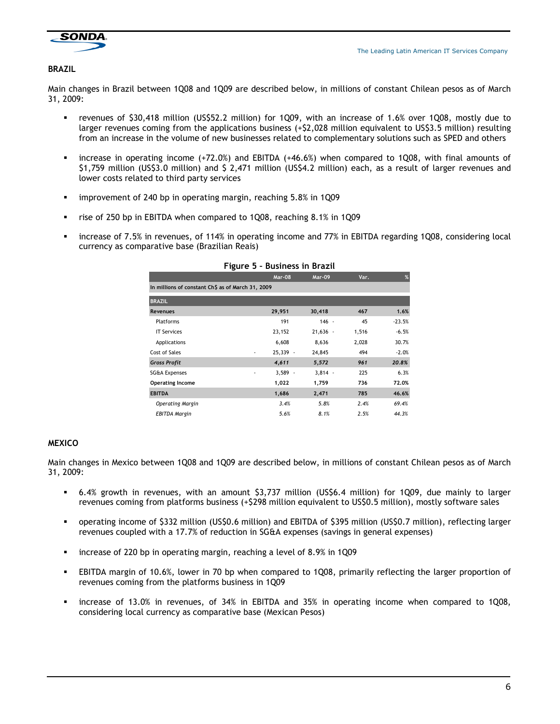

#### BRAZIL

Main changes in Brazil between 1Q08 and 1Q09 are described below, in millions of constant Chilean pesos as of March 31, 2009:

- revenues of \$30,418 million (US\$52.2 million) for 1Q09, with an increase of 1.6% over 1Q08, mostly due to larger revenues coming from the applications business (+\$2,028 million equivalent to US\$3.5 million) resulting from an increase in the volume of new businesses related to complementary solutions such as SPED and others
- **•** increase in operating income  $(+72.0%)$  and EBITDA  $(+46.6%)$  when compared to 1Q08, with final amounts of \$1,759 million (US\$3.0 million) and \$ 2,471 million (US\$4.2 million) each, as a result of larger revenues and lower costs related to third party services
- improvement of 240 bp in operating margin, reaching 5.8% in 1Q09
- rise of 250 bp in EBITDA when compared to 1Q08, reaching 8.1% in 1Q09
- increase of 7.5% in revenues, of 114% in operating income and 77% in EBITDA regarding 1Q08, considering local currency as comparative base (Brazilian Reais)

| -5-                                               |                                      |               |       |          |
|---------------------------------------------------|--------------------------------------|---------------|-------|----------|
|                                                   | <b>Mar-08</b>                        | <b>Mar-09</b> | Var.  | %        |
| In millions of constant Ch\$ as of March 31, 2009 |                                      |               |       |          |
| <b>BRAZIL</b>                                     |                                      |               |       |          |
| <b>Revenues</b>                                   | 29,951                               | 30,418        | 467   | 1.6%     |
| Platforms                                         | 191                                  | $146 -$       | 45    | $-23.5%$ |
| <b>IT Services</b>                                | 23,152                               | $21,636 -$    | 1,516 | $-6.5%$  |
| Applications                                      | 6,608                                | 8,636         | 2,028 | 30.7%    |
| Cost of Sales                                     | 25,339 -<br>$\overline{\phantom{a}}$ | 24,845        | 494   | $-2.0%$  |
| <b>Gross Profit</b>                               | 4,611                                | 5,572         | 961   | 20.8%    |
| <b>SG&amp;A Expenses</b>                          | $3,589 -$<br>٠                       | $3,814 -$     | 225   | 6.3%     |
| <b>Operating Income</b>                           | 1,022                                | 1,759         | 736   | 72.0%    |
| <b>EBITDA</b>                                     | 1,686                                | 2,471         | 785   | 46.6%    |
| <b>Operating Margin</b>                           | 3.4%                                 | 5.8%          | 2.4%  | 69.4%    |
| <b>EBITDA Margin</b>                              | 5.6%                                 | 8.1%          | 2.5%  | 44.3%    |

#### Figure 5 – Business in Brazil

#### MEXICO

Main changes in Mexico between 1Q08 and 1Q09 are described below, in millions of constant Chilean pesos as of March 31, 2009:

- 6.4% growth in revenues, with an amount \$3,737 million (US\$6.4 million) for 1Q09, due mainly to larger revenues coming from platforms business (+\$298 million equivalent to US\$0.5 million), mostly software sales
- operating income of \$332 million (US\$0.6 million) and EBITDA of \$395 million (US\$0.7 million), reflecting larger revenues coupled with a 17.7% of reduction in SG&A expenses (savings in general expenses)
- increase of 220 bp in operating margin, reaching a level of 8.9% in 1Q09
- EBITDA margin of 10.6%, lower in 70 bp when compared to 1Q08, primarily reflecting the larger proportion of revenues coming from the platforms business in 1Q09
- increase of 13.0% in revenues, of 34% in EBITDA and 35% in operating income when compared to 1Q08, considering local currency as comparative base (Mexican Pesos)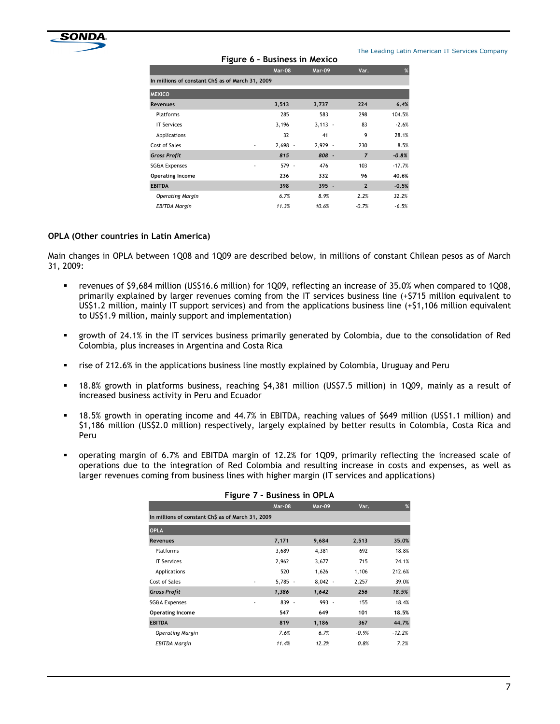

#### Figure 6 – Business in Mexico

The Leading Latin American IT Services Company

|                                                   | Mar-08         | Mar-09    | Var.           | %        |
|---------------------------------------------------|----------------|-----------|----------------|----------|
| In millions of constant Ch\$ as of March 31, 2009 |                |           |                |          |
| <b>MEXICO</b>                                     |                |           |                |          |
| <b>Revenues</b>                                   | 3,513          | 3,737     | 224            | 6.4%     |
| <b>Platforms</b>                                  | 285            | 583       | 298            | 104.5%   |
| <b>IT Services</b>                                | 3,196          | $3,113 -$ | 83             | $-2.6%$  |
| Applications                                      | 32             | 41        | 9              | 28.1%    |
| Cost of Sales                                     | $2,698 -$<br>٠ | 2,929 -   | 230            | 8.5%     |
| <b>Gross Profit</b>                               | 815            | 808 -     | $\overline{z}$ | $-0.8%$  |
| <b>SG&amp;A Expenses</b>                          | 579 -<br>٠     | 476       | 103            | $-17.7%$ |
| <b>Operating Income</b>                           | 236            | 332       | 96             | 40.6%    |
| <b>EBITDA</b>                                     | 398            | $395 -$   | $\overline{2}$ | $-0.5%$  |
| <b>Operating Margin</b>                           | 6.7%           | 8.9%      | 2.2%           | 32.2%    |
| EBITDA Margin                                     | 11.3%          | 10.6%     | $-0.7%$        | $-6.5%$  |

#### OPLA (Other countries in Latin America)

Main changes in OPLA between 1Q08 and 1Q09 are described below, in millions of constant Chilean pesos as of March 31, 2009:

- revenues of \$9,684 million (US\$16.6 million) for 1Q09, reflecting an increase of 35.0% when compared to 1Q08, primarily explained by larger revenues coming from the IT services business line (+\$715 million equivalent to US\$1.2 million, mainly IT support services) and from the applications business line (+\$1,106 million equivalent to US\$1.9 million, mainly support and implementation)
- growth of 24.1% in the IT services business primarily generated by Colombia, due to the consolidation of Red Colombia, plus increases in Argentina and Costa Rica
- rise of 212.6% in the applications business line mostly explained by Colombia, Uruguay and Peru
- 18.8% growth in platforms business, reaching \$4,381 million (US\$7.5 million) in 1Q09, mainly as a result of increased business activity in Peru and Ecuador
- 18.5% growth in operating income and 44.7% in EBITDA, reaching values of \$649 million (US\$1.1 million) and \$1,186 million (US\$2.0 million) respectively, largely explained by better results in Colombia, Costa Rica and Peru
- operating margin of 6.7% and EBITDA margin of 12.2% for 1Q09, primarily reflecting the increased scale of operations due to the integration of Red Colombia and resulting increase in costs and expenses, as well as larger revenues coming from business lines with higher margin (IT services and applications)

| <b>Figure 7 - DUSINESS IN OPLA</b>                |               |               |         |          |  |
|---------------------------------------------------|---------------|---------------|---------|----------|--|
|                                                   | <b>Mar-08</b> | <b>Mar-09</b> | Var.    | %        |  |
| In millions of constant Ch\$ as of March 31, 2009 |               |               |         |          |  |
| <b>OPLA</b>                                       |               |               |         |          |  |
| <b>Revenues</b>                                   | 7,171         | 9,684         | 2,513   | 35.0%    |  |
| Platforms                                         | 3,689         | 4,381         | 692     | 18.8%    |  |
| <b>IT Services</b>                                | 2,962         | 3,677         | 715     | 24.1%    |  |
| Applications                                      | 520           | 1,626         | 1,106   | 212.6%   |  |
| Cost of Sales                                     | $5,785 -$     | $8,042 -$     | 2,257   | 39.0%    |  |
| <b>Gross Profit</b>                               | 1,386         | 1,642         | 256     | 18.5%    |  |
| <b>SG&amp;A Expenses</b>                          | $839 -$       | $993 -$       | 155     | 18.4%    |  |
| <b>Operating Income</b>                           | 547           | 649           | 101     | 18.5%    |  |
| <b>EBITDA</b>                                     | 819           | 1,186         | 367     | 44.7%    |  |
| <b>Operating Margin</b>                           | 7.6%          | 6.7%          | $-0.9%$ | $-12.2%$ |  |
| EBITDA Margin                                     | 11.4%         | 12.2%         | 0.8%    | 7.2%     |  |
|                                                   |               |               |         |          |  |

## Figure 7 – Business in OPLA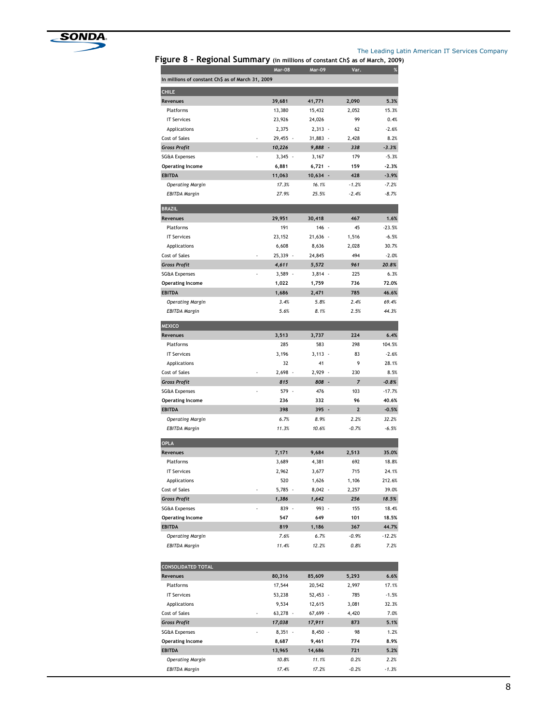

# The Leading Latin American IT Services Company<br>of constant Ch\$ as of March, 2009)

Figure 8 - Regional Summary (in million

| igui e o                                          | - Regional Summary (in millions of constant Ch5 as of March, 2009<br><b>Mar-08</b> | <b>Mar-09</b>     | Var.            | $\%$                |
|---------------------------------------------------|------------------------------------------------------------------------------------|-------------------|-----------------|---------------------|
| In millions of constant Ch\$ as of March 31, 2009 |                                                                                    |                   |                 |                     |
| <b>CHILE</b>                                      |                                                                                    |                   |                 |                     |
| Revenues                                          | 39,681                                                                             | 41,771            | 2,090           | 5.3%                |
| Platforms                                         | 13,380                                                                             | 15,432            | 2,052           | 15.3%               |
| <b>IT Services</b>                                | 23,926                                                                             | 24,026            | 99              | 0.4%                |
| Applications                                      | 2,375                                                                              | $2,313 -$         | 62              | $-2.6%$             |
| Cost of Sales                                     | 29,455 -                                                                           | 31,883 -          | 2,428           | 8.2%                |
| <b>Gross Profit</b>                               | 10,226                                                                             | 9,888 -           | 338             | $-3.3%$             |
| <b>SG&amp;A Expenses</b>                          | $3,345 -$                                                                          | 3,167             | 179             | $-5.3%$             |
| <b>Operating Income</b>                           | 6,881                                                                              | $6,721 -$         | 159             | $-2.3%$             |
| <b>EBITDA</b>                                     | 11,063                                                                             | 10,634 -          | 428             | $-3.9%$             |
| <b>Operating Margin</b>                           | 17.3%                                                                              | 16.1%             | $-1.2%$         | $-7.2%$             |
| <b>EBITDA Margin</b>                              | 27.9%                                                                              | 25.5%             | $-2.4%$         | $-8.7%$             |
| <b>BRAZIL</b>                                     |                                                                                    |                   |                 |                     |
| Revenues                                          | 29,951<br>191                                                                      | 30,418            | 467             | 1.6%                |
| Platforms<br><b>IT Services</b>                   | 23,152                                                                             | 146 -<br>21,636 - | 45<br>1,516     | $-23.5%$<br>$-6.5%$ |
| <b>Applications</b>                               | 6,608                                                                              | 8,636             | 2,028           | 30.7%               |
| Cost of Sales                                     | 25,339 -                                                                           | 24,845            | 494             | $-2.0%$             |
| <b>Gross Profit</b>                               | 4,611                                                                              | 5,572             | 961             | 20.8%               |
| <b>SG&amp;A Expenses</b>                          | $3,589 -$                                                                          | $3,814 -$         | 225             | 6.3%                |
| <b>Operating Income</b>                           | 1,022                                                                              | 1,759             | 736             | 72.0%               |
| <b>EBITDA</b>                                     | 1,686                                                                              | 2,471             | 785             | 46.6%               |
| <b>Operating Margin</b>                           | 3.4%                                                                               | 5.8%              | 2.4%            | 69.4%               |
| <b>EBITDA Margin</b>                              | 5.6%                                                                               | 8.1%              | 2.5%            | 44.3%               |
| <b>MEXICO</b>                                     |                                                                                    |                   |                 |                     |
| Revenues                                          | 3,513                                                                              | 3,737             | 224             | 6.4%                |
| Platforms                                         | 285                                                                                | 583               | 298             | 104.5%              |
| <b>IT Services</b>                                | 3,196                                                                              | $3,113 -$         | 83              | $-2.6%$             |
| Applications                                      | 32                                                                                 | 41                | 9               | 28.1%               |
| Cost of Sales                                     | $2,698 -$                                                                          | 2,929 -           | 230             | 8.5%                |
| <b>Gross Profit</b>                               | 815                                                                                | 808 -             | 7               | $-0.8%$             |
| <b>SG&amp;A Expenses</b>                          | 579 -                                                                              | 476               | 103             | $-17.7%$            |
| <b>Operating Income</b>                           | 236                                                                                | 332               | 96              | 40.6%               |
| <b>EBITDA</b>                                     | 398                                                                                | $395 -$           | $\mathbf{2}$    | $-0.5%$             |
| <b>Operating Margin</b><br><b>EBITDA Margin</b>   | 6.7%<br>11.3%                                                                      | 8.9%<br>10.6%     | 2.2%<br>$-0.7%$ | 32.2%               |
|                                                   |                                                                                    |                   |                 | $-6.5%$             |
| <b>OPLA</b>                                       |                                                                                    |                   |                 |                     |
| Revenues<br>Platforms                             | 7,171<br>3,689                                                                     | 9,684<br>4,381    | 2,513<br>692    | 35.0%<br>18.8%      |
| <b>IT Services</b>                                | 2,962                                                                              | 3,677             | 715             | 24.1%               |
| Applications                                      | 520                                                                                | 1,626             | 1,106           | 212.6%              |
| Cost of Sales                                     | $5,785 -$                                                                          | $8,042 -$         | 2,257           | 39.0%               |
| <b>Gross Profit</b>                               | 1,386                                                                              | 1,642             | 256             | 18.5%               |
| <b>SG&amp;A Expenses</b>                          | 839 -                                                                              | 993 -             | 155             | 18.4%               |
| <b>Operating Income</b>                           | 547                                                                                | 649               | 101             | 18.5%               |
| <b>EBITDA</b>                                     | 819                                                                                | 1,186             | 367             | 44.7%               |
| <b>Operating Margin</b>                           | 7.6%                                                                               | 6.7%              | $-0.9%$         | $-12.2%$            |
| <b>EBITDA Margin</b>                              | 11.4%                                                                              | 12.2%             | 0.8%            | 7.2%                |
|                                                   |                                                                                    |                   |                 |                     |
| <b>CONSOLIDATED TOTAL</b><br>Revenues             | 80,316                                                                             | 85,609            | 5,293           | 6.6%                |
| Platforms                                         | 17,544                                                                             | 20,542            | 2,997           | 17.1%               |
| <b>IT Services</b>                                | 53,238                                                                             | $52,453 -$        | 785             | $-1.5%$             |
| Applications                                      | 9,534                                                                              | 12,615            | 3,081           | 32.3%               |
| Cost of Sales                                     | $63,278$ -                                                                         | 67,699 -          | 4,420           | 7.0%                |
| <b>Gross Profit</b>                               | 17,038                                                                             | 17,911            | 873             | 5.1%                |
| <b>SG&amp;A Expenses</b>                          | $8,351 -$                                                                          | $8,450 -$         | 98              | 1.2%                |
| <b>Operating Income</b>                           | 8,687                                                                              | 9,461             | 774             | 8.9%                |
| <b>EBITDA</b>                                     | 13,965                                                                             | 14,686            | 721             | 5.2%                |
| <b>Operating Margin</b>                           | 10.8%                                                                              | 11.1%             | 0.2%            | 2.2%                |
| <b>EBITDA Margin</b>                              | 17.4%                                                                              | 17.2%             | $-0.2%$         | $-1.3%$             |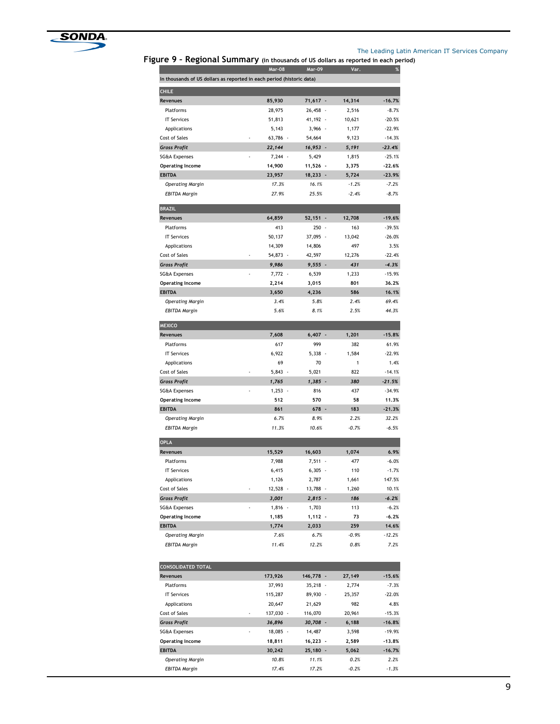

#### The Leading Latin American IT Services Company

Figure 9 – Regional Summary (in thousands of US dollars as reported in each period)

|                                                                       | <b>Mar-08</b> | Mar-09                          | Var.            | %                |
|-----------------------------------------------------------------------|---------------|---------------------------------|-----------------|------------------|
| In thousands of US dollars as reported in each period (historic data) |               |                                 |                 |                  |
| <b>CHILE</b>                                                          |               |                                 |                 |                  |
| Revenues                                                              | 85,930        | $71,617 -$                      | 14,314          | $-16.7%$         |
| Platforms                                                             | 28,975        | 26,458<br>٠.                    | 2,516           | $-8.7%$          |
| <b>IT Services</b>                                                    | 51,813        | 41,192 -                        | 10,621          | $-20.5%$         |
| Applications                                                          | 5,143         | $3,966 -$                       | 1,177           | $-22.9%$         |
| Cost of Sales                                                         | 63,786 -      | 54,664                          | 9,123           | $-14.3%$         |
| <b>Gross Profit</b>                                                   | 22,144        | 16,953 -                        | 5,191           | $-23.4%$         |
| <b>SG&amp;A Expenses</b>                                              | 7,244 -       | 5,429                           | 1,815           | $-25.1%$         |
| <b>Operating Income</b>                                               | 14,900        | 11,526 -                        | 3,375           | $-22.6%$         |
| <b>EBITDA</b>                                                         | 23,957        | $18,233 -$                      | 5,724           | $-23.9%$         |
| <b>Operating Margin</b>                                               | 17.3%         | 16.1%                           | $-1.2%$         | $-7.2%$          |
| <b>EBITDA Margin</b>                                                  | 27.9%         | 25.5%                           | $-2.4%$         | $-8.7%$          |
| <b>BRAZIL</b>                                                         |               |                                 |                 |                  |
| Revenues                                                              | 64,859        | $52,151 -$                      | 12,708          | $-19.6%$         |
| Platforms                                                             | 413           | 250<br>$\overline{\phantom{a}}$ | 163             | $-39.5%$         |
| <b>IT Services</b>                                                    | 50,137        | 37,095                          | 13,042          | $-26.0%$         |
| Applications                                                          | 14,309        | 14,806                          | 497             | 3.5%             |
| Cost of Sales                                                         | 54,873 -      | 42,597                          | 12,276          | $-22.4%$         |
| <b>Gross Profit</b>                                                   | 9,986         | $9,555 -$                       | 431             | $-4.3%$          |
| <b>SG&amp;A Expenses</b>                                              | $7,772 -$     | 6,539                           | 1,233           | $-15.9%$         |
| <b>Operating Income</b>                                               | 2,214         | 3,015                           | 801             | 36.2%            |
| <b>EBITDA</b>                                                         | 3,650         | 4,236                           | 586             | 16.1%            |
| <b>Operating Margin</b>                                               | 3.4%          | 5.8%                            | 2.4%            | 69.4%            |
| <b>EBITDA Margin</b>                                                  | 5.6%          | 8.1%                            | 2.5%            | 44.3%            |
| <b>MEXICO</b>                                                         |               |                                 |                 |                  |
| Revenues                                                              | 7,608         | $6,407 -$                       | 1,201           | $-15.8%$         |
| Platforms                                                             | 617           | 999                             | 382             | 61.9%            |
| <b>IT Services</b>                                                    | 6,922         | $5,338 -$                       | 1,584           | $-22.9%$         |
| Applications                                                          | 69            | 70                              | 1               | 1.4%             |
| Cost of Sales                                                         | $5,843 -$     | 5,021                           | 822             | $-14.1%$         |
| <b>Gross Profit</b>                                                   | 1,765         | $1,385 -$                       | 380             | $-21.5%$         |
| <b>SG&amp;A Expenses</b>                                              | $1,253 -$     | 816                             | 437             | $-34.9%$         |
| <b>Operating Income</b>                                               | 512           | 570                             | 58              | 11.3%            |
| <b>EBITDA</b>                                                         | 861           | 678 -                           | 183             | $-21.3%$         |
| <b>Operating Margin</b>                                               | 6.7%          | 8.9%                            | 2.2%            | 32.2%            |
| <b>EBITDA Margin</b>                                                  | 11.3%         | 10.6%                           | $-0.7%$         | $-6.5%$          |
| <b>OPLA</b>                                                           |               |                                 |                 |                  |
| Revenues                                                              | 15,529        | 16,603                          | 1,074           | 6.9%             |
| Platforms                                                             | 7,988         | $7,511 -$                       | 477             | $-6.0%$          |
| <b>IT Services</b>                                                    | 6,415         | 6,305                           | 110             | $-1.7%$          |
| Applications                                                          | 1,126         | 2,787                           | 1,661           | 147.5%           |
| Cost of Sales                                                         | 12,528 -      | 13,788 -                        | 1,260           | 10.1%            |
| <b>Gross Profit</b>                                                   | 3,001         | $2,815 -$                       | 186             | $-6.2%$          |
| <b>SG&amp;A Expenses</b>                                              | $1,816 -$     | 1,703                           | 113             | $-6.2%$          |
| <b>Operating Income</b>                                               | 1,185         | $1,112 -$                       | 73              | $-6.2%$          |
| <b>EBITDA</b>                                                         | 1,774         | 2,033                           | 259             | 14.6%            |
| <b>Operating Margin</b><br><b>EBITDA Margin</b>                       | 7.6%<br>11.4% | 6.7%<br>12.2%                   | $-0.9%$<br>0.8% | $-12.2%$<br>7.2% |
|                                                                       |               |                                 |                 |                  |
| <b>CONSOLIDATED TOTAL</b>                                             |               |                                 |                 |                  |
| Revenues                                                              | 173,926       | 146,778 -                       | 27,149          | $-15.6%$         |
| <b>Platforms</b>                                                      | 37,993        | $35,218 -$                      | 2,774           | $-7.3%$          |
| <b>IT Services</b>                                                    | 115,287       | 89,930 -                        | 25,357          | $-22.0%$         |
| Applications                                                          | 20,647        | 21,629                          | 982             | 4.8%             |
| Cost of Sales                                                         | 137,030 -     | 116,070                         | 20,961          | $-15.3%$         |
| <b>Gross Profit</b>                                                   | 36,896        | 30,708 -                        | 6,188           | $-16.8%$         |
| SG&A Expenses                                                         | 18,085 -      | 14,487                          | 3,598           | $-19.9%$         |
| <b>Operating Income</b>                                               | 18,811        | $16,223 -$                      | 2,589           | $-13.8%$         |
| <b>EBITDA</b>                                                         | 30,242        | 25,180 -                        | 5,062           | $-16.7%$         |
| <b>Operating Margin</b>                                               | 10.8%         | 11.1%                           | 0.2%            | 2.2%             |
| <b>EBITDA Margin</b>                                                  | 17.4%         | 17.2%                           | $-0.2%$         | $-1.3%$          |